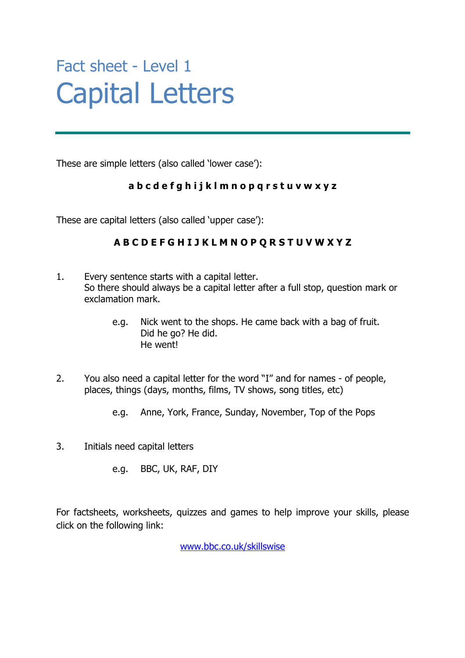## Fact sheet - Level 1 Capital Letters

These are simple letters (also called 'lower case'):

### **a b c d e f g h i j k l m n o p q r s t u v w x y z**

These are capital letters (also called 'upper case'):

### **A B C D E F G H I J K L M N O P Q R S T U V W X Y Z**

- 1. Every sentence starts with a capital letter. So there should always be a capital letter after a full stop, question mark or exclamation mark.
	- e.g. Nick went to the shops. He came back with a bag of fruit. Did he go? He did. He went!
- 2. You also need a capital letter for the word "I" and for names of people, places, things (days, months, films, TV shows, song titles, etc)
	- e.g. Anne, York, France, Sunday, November, Top of the Pops
- 3. Initials need capital letters

e.g. BBC, UK, RAF, DIY

For factsheets, worksheets, quizzes and games to help improve your skills, please click on the following link:

www.bbc.co.uk/skillswise